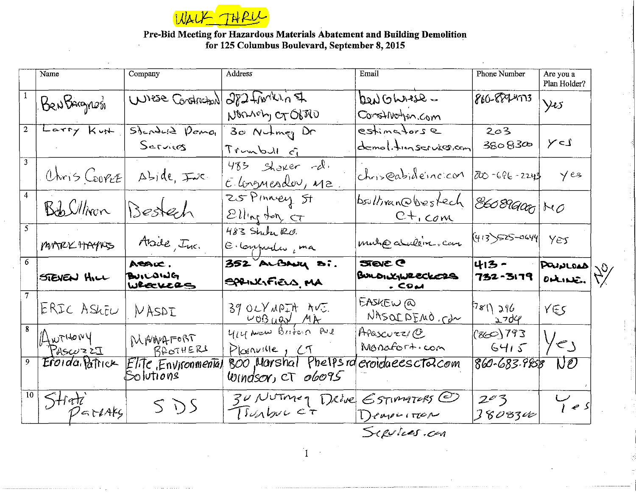

## Pre-Bid Meeting for Hazardous Materials Abatement and Building Demolition<br>for 125 Columbus Boulevard, September 8, 2015

|    | Name                          | Company                             | Address                                    | Email                                                               | Phone Number         | Are you a<br>Plan Holder? |
|----|-------------------------------|-------------------------------------|--------------------------------------------|---------------------------------------------------------------------|----------------------|---------------------------|
|    | BenBagnes                     | Wrese Construction                  | 282 Frontin F<br>Norman CTOBRO             | Den Ghrase -<br>Construction com                                    | 860-889-4773         | $\sqrt{25}$               |
|    | Larry Kut                     | $5$ <i>dendere Demo</i><br>Sarvicos | 30 Nutmey Dr<br>Trumbull of                | estimators e<br>demolitionservicer.com                              | 203<br>38083æ        | $Y - 1$                   |
|    | $OhrisCooveE$ $Aside, \pm bc$ |                                     | $483$ shower rd.<br>Elonguesdou, Ma.       | chris@abideincicor $\overline{\alpha}$ 0-696-2243                   |                      | $Y$ es                    |
|    | Bob Uliver Bestech            |                                     | 25 Pinney St<br>$Ell$ ll'ny tony $ct$      | bsullivan@bestech<br>$C+_{1}$ com                                   | $ 86089000 $ NO      |                           |
|    | MATRIC HAYNS                  | Asile, Inc.                         | 483 Sher R.O.<br>E composter, ma           | multo dulling can                                                   | $(413)$ 525-0644 YEJ |                           |
| 6. | STEVEN HILL                   | ACACC.<br>BUILDING<br>WRECKERS      | 352 ALBANY Si.<br>SPANGFIELD MA            | <b>STEVE C</b><br>BULDIXINRECKERS<br>$\overline{\phantom{a}}$ . COM | 413-<br>732-3179     | POUNLOAD<br>$D$ tike.     |
|    | ERIC ASLEU   NASDI            |                                     | $39$ OLYMPIA AVI.<br><u>WOBUGY MA</u>      | FASKEW @<br>WASOIDEMO.Cdm                                           | $7$ 8(\ 296<br>5.704 | YES                       |
|    | $\mu$ wruovy<br>Pascuzzi      | MANAFORT<br>BROTHERS                | you were Britain Ave<br>Plosnume, CT       | APascurz/C<br>Monafort.com                                          | (80)793<br>6415      | $y_{2}$                   |
|    | Eroida Patrick                | EliTe Environmenial<br>Solutions    | 800 Marshal Phelpsra<br>Windsor, CT 06095  | eroidaeescta.com                                                    | 860-683-9958         | $\Box$                    |
|    | $S$ trati<br>$P$ =reaks       | SDS                                 | 30 NUTMEY DROVE ESTIMATERS @<br>TIUMbuc c+ | $\Gamma$ cape incorre                                               | 203<br>380834        | $V_{1eS}$                 |

 $\,1\,$ 

Septies.com